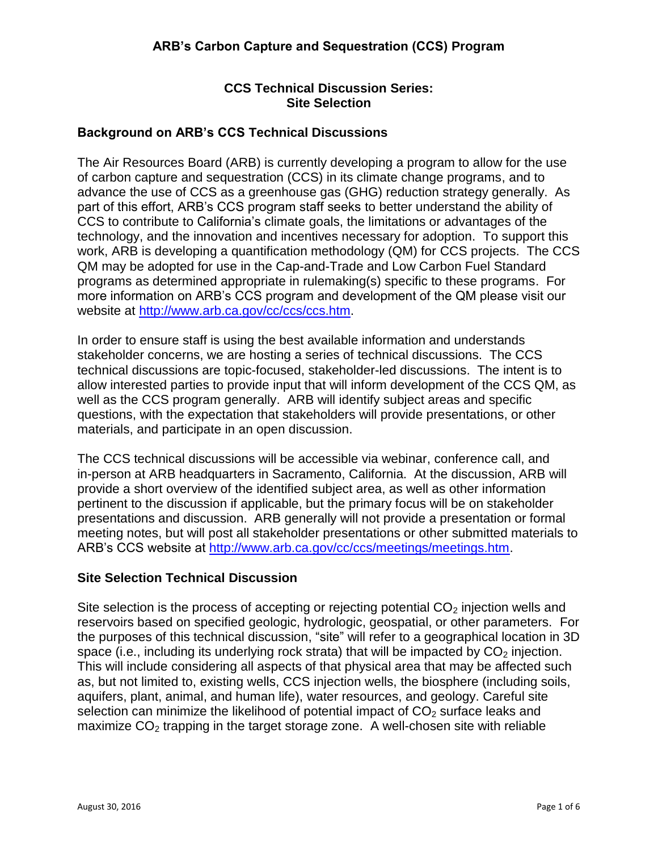# **CCS Technical Discussion Series: Site Selection**

# **Background on ARB's CCS Technical Discussions**

The Air Resources Board (ARB) is currently developing a program to allow for the use of carbon capture and sequestration (CCS) in its climate change programs, and to advance the use of CCS as a greenhouse gas (GHG) reduction strategy generally. As part of this effort, ARB's CCS program staff seeks to better understand the ability of CCS to contribute to California's climate goals, the limitations or advantages of the technology, and the innovation and incentives necessary for adoption. To support this work, ARB is developing a quantification methodology (QM) for CCS projects. The CCS QM may be adopted for use in the Cap-and-Trade and Low Carbon Fuel Standard programs as determined appropriate in rulemaking(s) specific to these programs. For more information on ARB's CCS program and development of the QM please visit our website at [http://www.arb.ca.gov/cc/ccs/ccs.htm.](http://www.arb.ca.gov/cc/ccs/ccs.htm)

In order to ensure staff is using the best available information and understands stakeholder concerns, we are hosting a series of technical discussions. The CCS technical discussions are topic-focused, stakeholder-led discussions. The intent is to allow interested parties to provide input that will inform development of the CCS QM, as well as the CCS program generally. ARB will identify subject areas and specific questions, with the expectation that stakeholders will provide presentations, or other materials, and participate in an open discussion.

The CCS technical discussions will be accessible via webinar, conference call, and in-person at ARB headquarters in Sacramento, California. At the discussion, ARB will provide a short overview of the identified subject area, as well as other information pertinent to the discussion if applicable, but the primary focus will be on stakeholder presentations and discussion. ARB generally will not provide a presentation or formal meeting notes, but will post all stakeholder presentations or other submitted materials to ARB's CCS website at [http://www.arb.ca.gov/cc/ccs/meetings/meetings.htm.](http://www.arb.ca.gov/cc/ccs/meetings/meetings.htm)

## **Site Selection Technical Discussion**

Site selection is the process of accepting or rejecting potential  $CO<sub>2</sub>$  injection wells and reservoirs based on specified geologic, hydrologic, geospatial, or other parameters. For the purposes of this technical discussion, "site" will refer to a geographical location in 3D space (i.e., including its underlying rock strata) that will be impacted by  $CO<sub>2</sub>$  injection. This will include considering all aspects of that physical area that may be affected such as, but not limited to, existing wells, CCS injection wells, the biosphere (including soils, aquifers, plant, animal, and human life), water resources, and geology. Careful site selection can minimize the likelihood of potential impact of  $CO<sub>2</sub>$  surface leaks and maximize  $CO<sub>2</sub>$  trapping in the target storage zone. A well-chosen site with reliable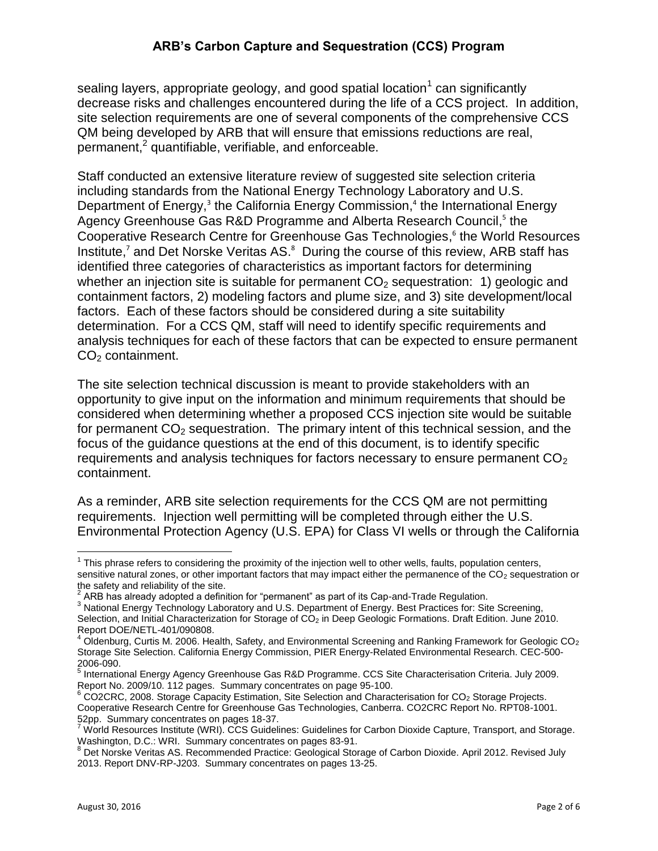sealing layers, appropriate geology, and good spatial location<sup>1</sup> can significantly decrease risks and challenges encountered during the life of a CCS project. In addition, site selection requirements are one of several components of the comprehensive CCS QM being developed by ARB that will ensure that emissions reductions are real, permanent,<sup>2</sup> quantifiable, verifiable, and enforceable.

Staff conducted an extensive literature review of suggested site selection criteria including standards from the National Energy Technology Laboratory and U.S. Department of Energy,<sup>3</sup> the California Energy Commission,<sup>4</sup> the International Energy Agency Greenhouse Gas R&D Programme and Alberta Research Council,<sup>5</sup> the Cooperative Research Centre for Greenhouse Gas Technologies, 6 the World Resources Institute,<sup>7</sup> and Det Norske Veritas AS.<sup>8</sup> During the course of this review, ARB staff has identified three categories of characteristics as important factors for determining whether an injection site is suitable for permanent  $CO<sub>2</sub>$  sequestration: 1) geologic and containment factors, 2) modeling factors and plume size, and 3) site development/local factors. Each of these factors should be considered during a site suitability determination. For a CCS QM, staff will need to identify specific requirements and analysis techniques for each of these factors that can be expected to ensure permanent  $CO<sub>2</sub>$  containment.

The site selection technical discussion is meant to provide stakeholders with an opportunity to give input on the information and minimum requirements that should be considered when determining whether a proposed CCS injection site would be suitable for permanent  $CO<sub>2</sub>$  sequestration. The primary intent of this technical session, and the focus of the guidance questions at the end of this document, is to identify specific requirements and analysis techniques for factors necessary to ensure permanent  $CO<sub>2</sub>$ containment.

As a reminder, ARB site selection requirements for the CCS QM are not permitting requirements. Injection well permitting will be completed through either the U.S. Environmental Protection Agency (U.S. EPA) for Class VI wells or through the California

This phrase refers to considering the proximity of the injection well to other wells, faults, population centers,<br>This phrase refers to considering the proximity of the injection well to other wells, faults, population cen sensitive natural zones, or other important factors that may impact either the permanence of the  $CO<sub>2</sub>$  sequestration or the safety and reliability of the site.<br><sup>2</sup> ADD has already adopted a defin

ARB has already adopted a definition for "permanent" as part of its Cap-and-Trade Regulation.

<sup>3</sup> National Energy Technology Laboratory and U.S. Department of Energy. Best Practices for: Site Screening, Selection, and Initial Characterization for Storage of CO<sub>2</sub> in Deep Geologic Formations. Draft Edition. June 2010. Report DOE/NETL-401/090808.

<sup>4</sup> Oldenburg, Curtis M. 2006. Health, Safety, and Environmental Screening and Ranking Framework for Geologic CO<sup>2</sup> Storage Site Selection. California Energy Commission, PIER Energy-Related Environmental Research. CEC-500- 2006-090.

<sup>&</sup>lt;sup>5</sup> International Energy Agency Greenhouse Gas R&D Programme. CCS Site Characterisation Criteria. July 2009. Report No. 2009/10. 112 pages. Summary concentrates on page 95-100.

 $6$  CO2CRC, 2008. Storage Capacity Estimation, Site Selection and Characterisation for CO<sub>2</sub> Storage Projects. Cooperative Research Centre for Greenhouse Gas Technologies, Canberra. CO2CRC Report No. RPT08-1001. 52pp. Summary concentrates on pages 18-37.

 $^7$  World Resources Institute (WRI). CCS Guidelines: Guidelines for Carbon Dioxide Capture, Transport, and Storage. Washington, D.C.: WRI. Summary concentrates on pages 83-91.

<sup>8</sup> Det Norske Veritas AS. Recommended Practice: Geological Storage of Carbon Dioxide. April 2012. Revised July 2013. Report DNV-RP-J203. Summary concentrates on pages 13-25.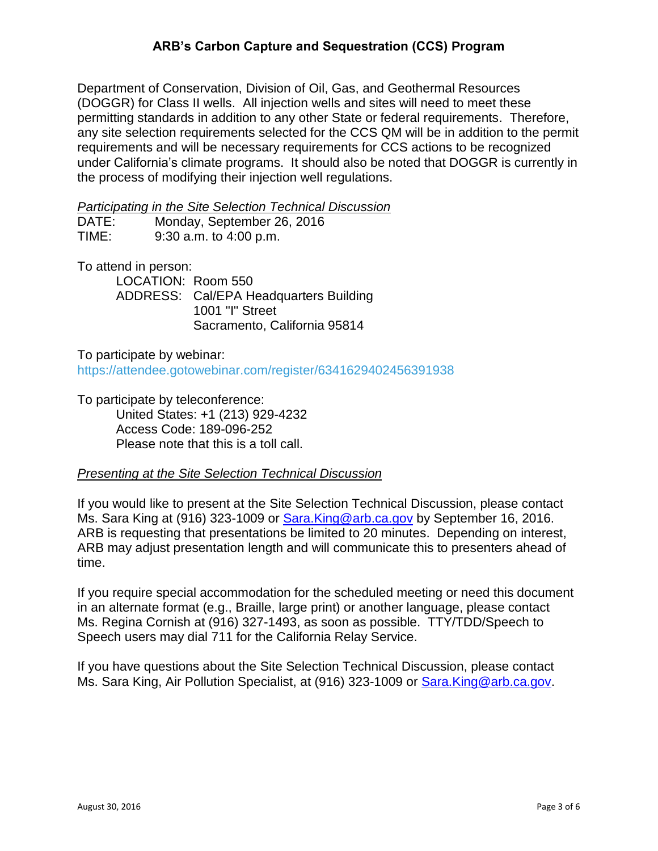# **ARB's Carbon Capture and Sequestration (CCS) Program**

Department of Conservation, Division of Oil, Gas, and Geothermal Resources (DOGGR) for Class II wells. All injection wells and sites will need to meet these permitting standards in addition to any other State or federal requirements. Therefore, any site selection requirements selected for the CCS QM will be in addition to the permit requirements and will be necessary requirements for CCS actions to be recognized under California's climate programs. It should also be noted that DOGGR is currently in the process of modifying their injection well regulations.

#### *Participating in the Site Selection Technical Discussion*

| DATE: | Monday, September 26, 2016 |
|-------|----------------------------|
| TIME: | $9:30$ a.m. to $4:00$ p.m. |

To attend in person:

LOCATION: Room 550 ADDRESS: Cal/EPA Headquarters Building 1001 "I" Street Sacramento, California 95814

To participate by webinar: <https://attendee.gotowebinar.com/register/6341629402456391938>

To participate by teleconference: United States: +1 (213) 929-4232 Access Code: 189-096-252 Please note that this is a toll call.

#### *Presenting at the Site Selection Technical Discussion*

If you would like to present at the Site Selection Technical Discussion, please contact Ms. Sara King at (916) 323-1009 or [Sara.King@arb.ca.gov](mailto:Sara.King@arb.ca.gov) by September 16, 2016. ARB is requesting that presentations be limited to 20 minutes. Depending on interest, ARB may adjust presentation length and will communicate this to presenters ahead of time.

If you require special accommodation for the scheduled meeting or need this document in an alternate format (e.g., Braille, large print) or another language, please contact Ms. Regina Cornish at (916) 327-1493, as soon as possible. TTY/TDD/Speech to Speech users may dial 711 for the California Relay Service.

If you have questions about the Site Selection Technical Discussion, please contact Ms. Sara King, Air Pollution Specialist, at (916) 323-1009 or **Sara.King@arb.ca.gov.**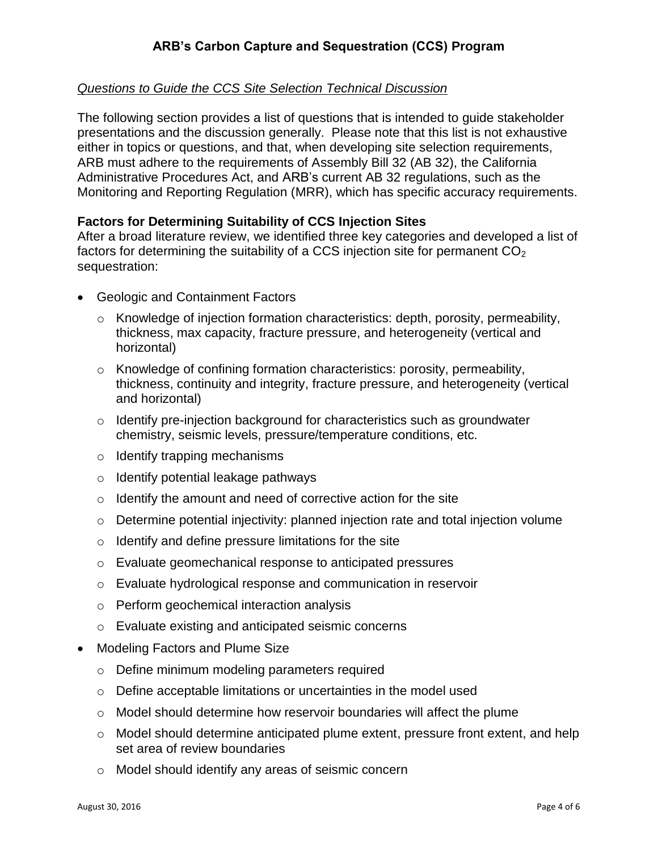# *Questions to Guide the CCS Site Selection Technical Discussion*

The following section provides a list of questions that is intended to guide stakeholder presentations and the discussion generally. Please note that this list is not exhaustive either in topics or questions, and that, when developing site selection requirements, ARB must adhere to the requirements of Assembly Bill 32 (AB 32), the California Administrative Procedures Act, and ARB's current AB 32 regulations, such as the Monitoring and Reporting Regulation (MRR), which has specific accuracy requirements.

## **Factors for Determining Suitability of CCS Injection Sites**

After a broad literature review, we identified three key categories and developed a list of factors for determining the suitability of a CCS injection site for permanent  $CO<sub>2</sub>$ sequestration:

- Geologic and Containment Factors
	- o Knowledge of injection formation characteristics: depth, porosity, permeability, thickness, max capacity, fracture pressure, and heterogeneity (vertical and horizontal)
	- $\circ$  Knowledge of confining formation characteristics: porosity, permeability, thickness, continuity and integrity, fracture pressure, and heterogeneity (vertical and horizontal)
	- $\circ$  Identify pre-injection background for characteristics such as groundwater chemistry, seismic levels, pressure/temperature conditions, etc.
	- o Identify trapping mechanisms
	- o Identify potential leakage pathways
	- $\circ$  Identify the amount and need of corrective action for the site
	- o Determine potential injectivity: planned injection rate and total injection volume
	- $\circ$  Identify and define pressure limitations for the site
	- o Evaluate geomechanical response to anticipated pressures
	- o Evaluate hydrological response and communication in reservoir
	- o Perform geochemical interaction analysis
	- o Evaluate existing and anticipated seismic concerns
- Modeling Factors and Plume Size
	- o Define minimum modeling parameters required
	- o Define acceptable limitations or uncertainties in the model used
	- $\circ$  Model should determine how reservoir boundaries will affect the plume
	- o Model should determine anticipated plume extent, pressure front extent, and help set area of review boundaries
	- o Model should identify any areas of seismic concern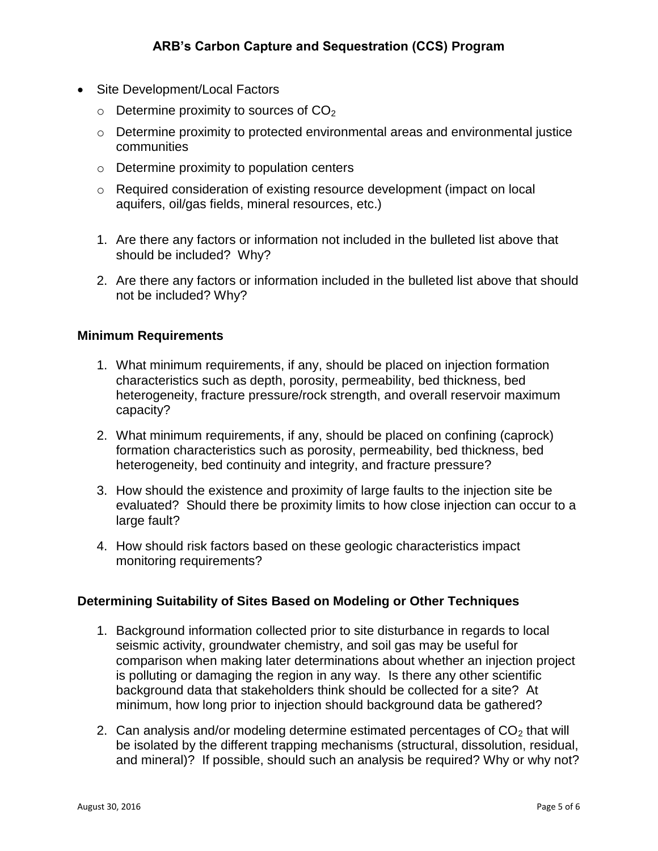- Site Development/Local Factors
	- $\circ$  Determine proximity to sources of CO<sub>2</sub>
	- o Determine proximity to protected environmental areas and environmental justice communities
	- o Determine proximity to population centers
	- o Required consideration of existing resource development (impact on local aquifers, oil/gas fields, mineral resources, etc.)
	- 1. Are there any factors or information not included in the bulleted list above that should be included? Why?
	- 2. Are there any factors or information included in the bulleted list above that should not be included? Why?

### **Minimum Requirements**

- 1. What minimum requirements, if any, should be placed on injection formation characteristics such as depth, porosity, permeability, bed thickness, bed heterogeneity, fracture pressure/rock strength, and overall reservoir maximum capacity?
- 2. What minimum requirements, if any, should be placed on confining (caprock) formation characteristics such as porosity, permeability, bed thickness, bed heterogeneity, bed continuity and integrity, and fracture pressure?
- 3. How should the existence and proximity of large faults to the injection site be evaluated? Should there be proximity limits to how close injection can occur to a large fault?
- 4. How should risk factors based on these geologic characteristics impact monitoring requirements?

## **Determining Suitability of Sites Based on Modeling or Other Techniques**

- 1. Background information collected prior to site disturbance in regards to local seismic activity, groundwater chemistry, and soil gas may be useful for comparison when making later determinations about whether an injection project is polluting or damaging the region in any way. Is there any other scientific background data that stakeholders think should be collected for a site? At minimum, how long prior to injection should background data be gathered?
- 2. Can analysis and/or modeling determine estimated percentages of  $CO<sub>2</sub>$  that will be isolated by the different trapping mechanisms (structural, dissolution, residual, and mineral)? If possible, should such an analysis be required? Why or why not?